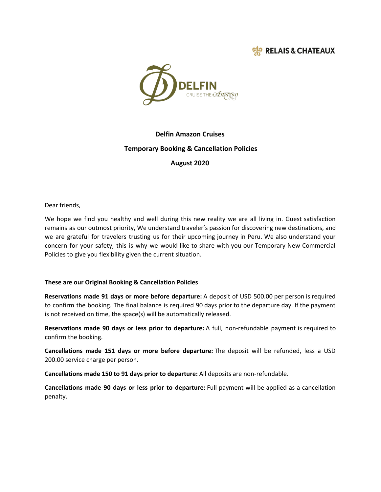



# **Delfin Amazon Cruises Temporary Booking & Cancellation Policies**

**August 2020**

Dear friends,

We hope we find you healthy and well during this new reality we are all living in. Guest satisfaction remains as our outmost priority, We understand traveler's passion for discovering new destinations, and we are grateful for travelers trusting us for their upcoming journey in Peru. We also understand your concern for your safety, this is why we would like to share with you our Temporary New Commercial Policies to give you flexibility given the current situation.

## **These are our Original Booking & Cancellation Policies**

**Reservations made 91 days or more before departure:** A deposit of USD 500.00 per person is required to confirm the booking. The final balance is required 90 days prior to the departure day. If the payment is not received on time, the space(s) will be automatically released.

**Reservations made 90 days or less prior to departure:** A full, non-refundable payment is required to confirm the booking.

**Cancellations made 151 days or more before departure:** The deposit will be refunded, less a USD 200.00 service charge per person.

**Cancellations made 150 to 91 days prior to departure:** All deposits are non-refundable.

**Cancellations made 90 days or less prior to departure:** Full payment will be applied as a cancellation penalty.